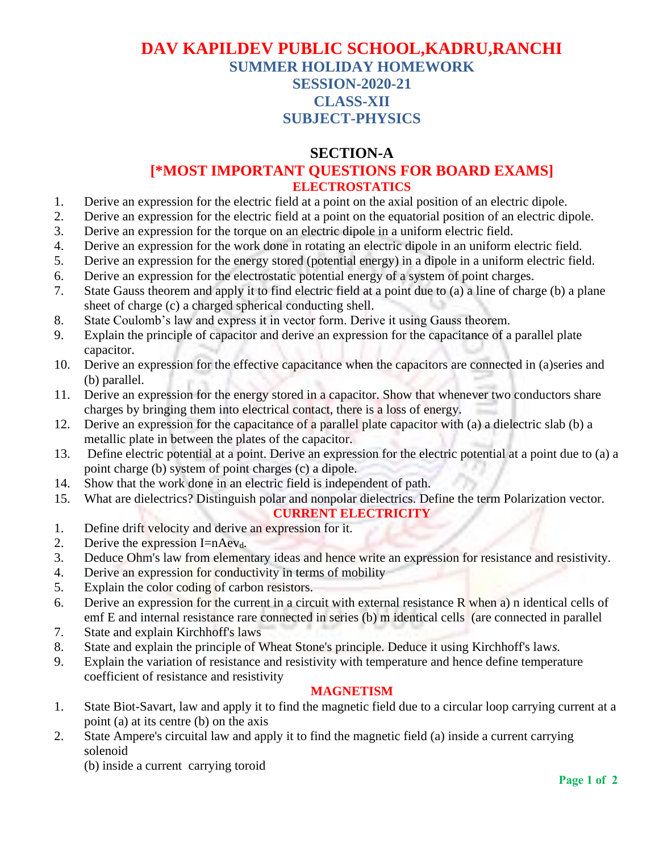## **DAV KAPILDEV PUBLIC SCHOOL,KADRU,RANCHI SUMMER HOLIDAY HOMEWORK SESSION-2020-21 CLASS-XII SUBJECT-PHYSICS**

### **SECTION-A**

### **[\*MOST IMPORTANT QUESTIONS FOR BOARD EXAMS] ELECTROSTATICS**

- 1. Derive an expression for the electric field at a point on the axial position of an electric dipole.
- 2. Derive an expression for the electric field at a point on the equatorial position of an electric dipole.
- 3. Derive an expression for the torque on an electric dipole in a uniform electric field.
- 4. Derive an expression for the work done in rotating an electric dipole in an uniform electric field.
- 5. Derive an expression for the energy stored (potential energy) in a dipole in a uniform electric field.
- 6. Derive an expression for the electrostatic potential energy of a system of point charges.
- 7. State Gauss theorem and apply it to find electric field at a point due to (a) a line of charge (b) a plane sheet of charge (c) a charged spherical conducting shell.
- 8. State Coulomb's law and express it in vector form. Derive it using Gauss theorem.
- 9. Explain the principle of capacitor and derive an expression for the capacitance of a parallel plate capacitor.
- 10. Derive an expression for the effective capacitance when the capacitors are connected in (a)series and (b) parallel.
- 11. Derive an expression for the energy stored in a capacitor. Show that whenever two conductors share charges by bringing them into electrical contact, there is a loss of energy.
- 12. Derive an expression for the capacitance of a parallel plate capacitor with (a) a dielectric slab (b) a metallic plate in between the plates of the capacitor.
- 13. Define electric potential at a point. Derive an expression for the electric potential at a point due to (a) a point charge (b) system of point charges (c) a dipole.
- 14. Show that the work done in an electric field is independent of path.
- 15. What are dielectrics? Distinguish polar and nonpolar dielectrics. Define the term Polarization vector.

#### **CURRENT ELECTRICITY**

- 1. Define drift velocity and derive an expression for it.
- 2. Derive the expression I=nAevd*.*
- 3. Deduce Ohm's law from elementary ideas and hence write an expression for resistance and resistivity.
- 4. Derive an expression for conductivity in terms of mobility
- 5. Explain the color coding of carbon resistors.
- 6. Derive an expression for the current in a circuit with external resistance R when a) n identical cells of emf E and internal resistance rare connected in series (b) m identical cells (are connected in parallel
- 7. State and explain Kirchhoff's laws
- 8. State and explain the principle of Wheat Stone's principle. Deduce it using Kirchhoff's law*s.*
- 9. Explain the variation of resistance and resistivity with temperature and hence define temperature coefficient of resistance and resistivity

#### **MAGNETISM**

- 1. State Biot-Savart, law and apply it to find the magnetic field due to a circular loop carrying current at a point (a) at its centre (b) on the axis
- 2. State Ampere's circuital law and apply it to find the magnetic field (a) inside a current carrying solenoid

(b) inside a current carrying toroid